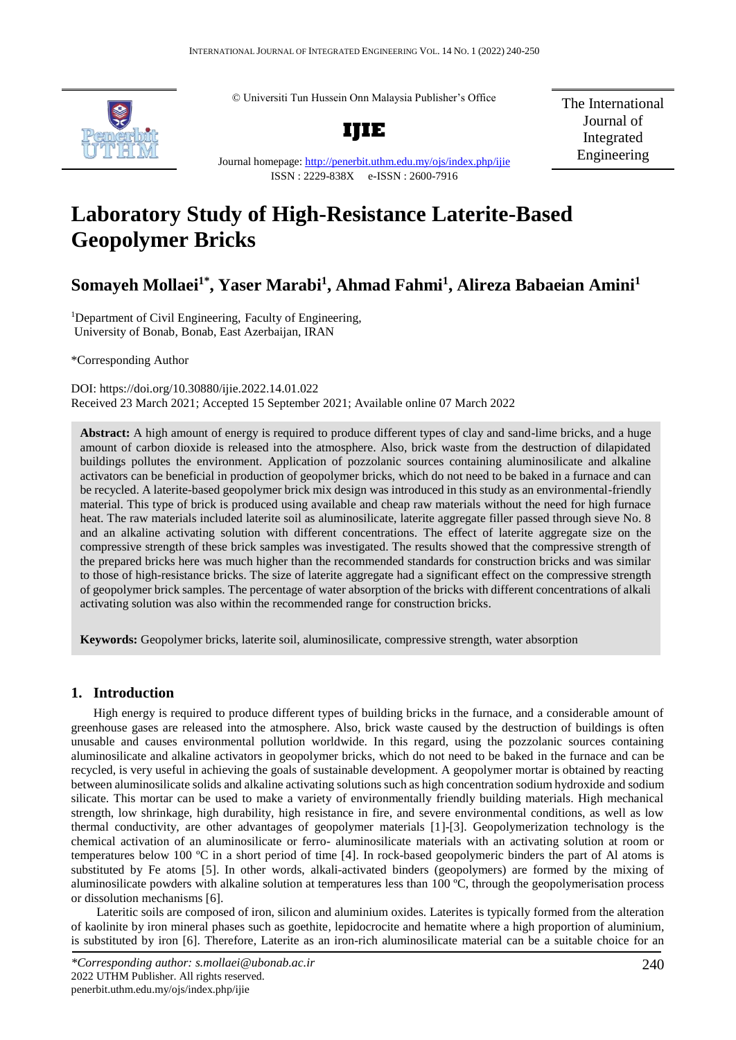© Universiti Tun Hussein Onn Malaysia Publisher's Office



**IJIE**

The International Journal of Integrated Engineering

Journal homepage:<http://penerbit.uthm.edu.my/ojs/index.php/ijie> ISSN : 2229-838X e-ISSN : 2600-7916

# **Laboratory Study of High-Resistance Laterite-Based Geopolymer Bricks**

# **Somayeh Mollaei1\* , Yaser Marabi<sup>1</sup> , Ahmad Fahmi<sup>1</sup> , Alireza Babaeian Amini<sup>1</sup>**

<sup>1</sup>Department of Civil Engineering, Faculty of Engineering, University of Bonab, Bonab, East Azerbaijan, IRAN

\*Corresponding Author

DOI: https://doi.org/10.30880/ijie.2022.14.01.022 Received 23 March 2021; Accepted 15 September 2021; Available online 07 March 2022

**Abstract:** A high amount of energy is required to produce different types of clay and sand-lime bricks, and a huge amount of carbon dioxide is released into the atmosphere. Also, brick waste from the destruction of dilapidated buildings pollutes the environment. Application of pozzolanic sources containing aluminosilicate and alkaline activators can be beneficial in production of geopolymer bricks, which do not need to be baked in a furnace and can be recycled. A laterite-based geopolymer brick mix design was introduced in this study as an environmental-friendly material. This type of brick is produced using available and cheap raw materials without the need for high furnace heat. The raw materials included laterite soil as aluminosilicate, laterite aggregate filler passed through sieve No. 8 and an alkaline activating solution with different concentrations. The effect of laterite aggregate size on the compressive strength of these brick samples was investigated. The results showed that the compressive strength of the prepared bricks here was much higher than the recommended standards for construction bricks and was similar to those of high-resistance bricks. The size of laterite aggregate had a significant effect on the compressive strength of geopolymer brick samples. The percentage of water absorption of the bricks with different concentrations of alkali activating solution was also within the recommended range for construction bricks.

**Keywords:** Geopolymer bricks, laterite soil, aluminosilicate, compressive strength, water absorption

# **1. Introduction**

High energy is required to produce different types of building bricks in the furnace, and a considerable amount of greenhouse gases are released into the atmosphere. Also, brick waste caused by the destruction of buildings is often unusable and causes environmental pollution worldwide. In this regard, using the pozzolanic sources containing aluminosilicate and alkaline activators in geopolymer bricks, which do not need to be baked in the furnace and can be recycled, is very useful in achieving the goals of sustainable development. A geopolymer mortar is obtained by reacting between aluminosilicate solids and alkaline activating solutions such as high concentration sodium hydroxide and sodium silicate. This mortar can be used to make a variety of environmentally friendly building materials. High mechanical strength, low shrinkage, high durability, high resistance in fire, and severe environmental conditions, as well as low thermal conductivity, are other advantages of geopolymer materials [1]-[3]. Geopolymerization technology is the chemical activation of an aluminosilicate or ferro- aluminosilicate materials with an activating solution at room or temperatures below 100 ºC in a short period of time [4]. In rock-based geopolymeric binders the part of Al atoms is substituted by Fe atoms [5]. In other words, alkali-activated binders (geopolymers) are formed by the mixing of aluminosilicate powders with alkaline solution at temperatures less than 100 ºC, through the geopolymerisation process or dissolution mechanisms [6].

Lateritic soils are composed of iron, silicon and aluminium oxides. Laterites is typically formed from the alteration of kaolinite by iron mineral phases such as goethite, lepidocrocite and hematite where a high proportion of aluminium, is substituted by iron [6]. Therefore, Laterite as an iron-rich aluminosilicate material can be a suitable choice for an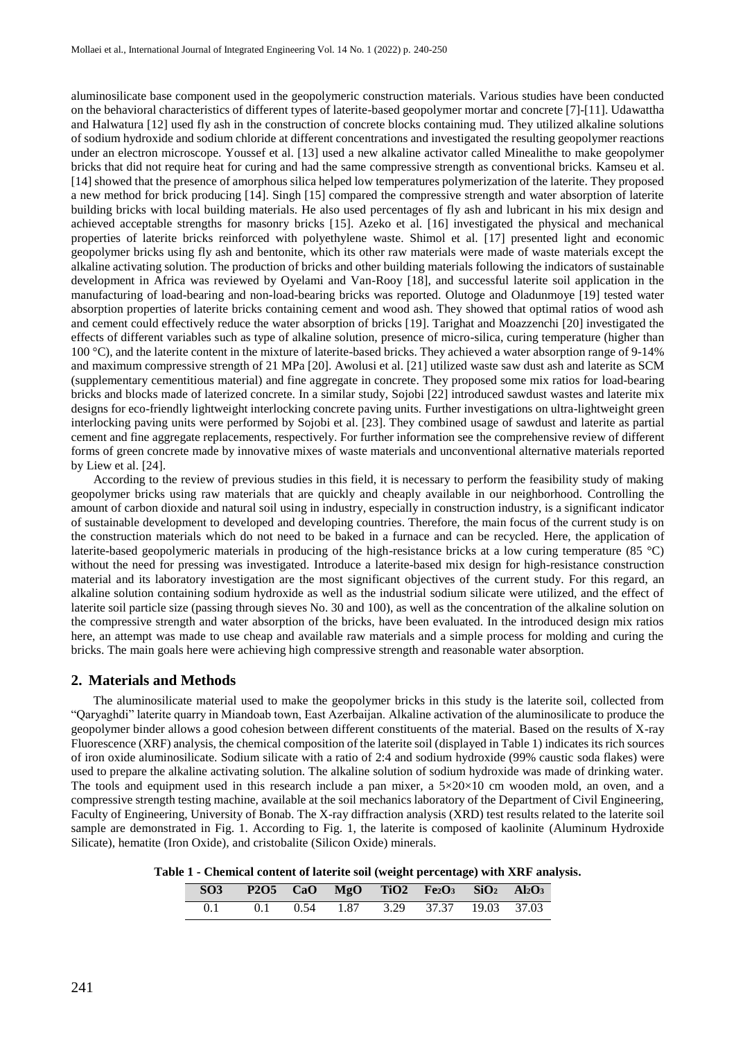aluminosilicate base component used in the geopolymeric construction materials. Various studies have been conducted on the behavioral characteristics of different types of laterite-based geopolymer mortar and concrete [7]-[11]. Udawattha and Halwatura [12] used fly ash in the construction of concrete blocks containing mud. They utilized alkaline solutions of sodium hydroxide and sodium chloride at different concentrations and investigated the resulting geopolymer reactions under an electron microscope. Youssef et al. [13] used a new alkaline activator called Minealithe to make geopolymer bricks that did not require heat for curing and had the same compressive strength as conventional bricks. Kamseu et al. [14] showed that the presence of amorphous silica helped low temperatures polymerization of the laterite. They proposed a new method for brick producing [14]. Singh [15] compared the compressive strength and water absorption of laterite building bricks with local building materials. He also used percentages of fly ash and lubricant in his mix design and achieved acceptable strengths for masonry bricks [15]. Azeko et al. [16] investigated the physical and mechanical properties of laterite bricks reinforced with polyethylene waste. Shimol et al. [17] presented light and economic geopolymer bricks using fly ash and bentonite, which its other raw materials were made of waste materials except the alkaline activating solution. The production of bricks and other building materials following the indicators of sustainable development in Africa was reviewed by Oyelami and Van-Rooy [18], and successful laterite soil application in the manufacturing of load-bearing and non-load-bearing bricks was reported. Olutoge and Oladunmoye [19] tested water absorption properties of laterite bricks containing cement and wood ash. They showed that optimal ratios of wood ash and cement could effectively reduce the water absorption of bricks [19]. Tarighat and Moazzenchi [20] investigated the effects of different variables such as type of alkaline solution, presence of micro-silica, curing temperature (higher than 100 °C), and the laterite content in the mixture of laterite-based bricks. They achieved a water absorption range of 9-14% and maximum compressive strength of 21 MPa [20]. Awolusi et al. [21] utilized waste saw dust ash and laterite as SCM (supplementary cementitious material) and fine aggregate in concrete. They proposed some mix ratios for load-bearing bricks and blocks made of laterized concrete. In a similar study, Sojobi [22] introduced sawdust wastes and laterite mix designs for eco-friendly lightweight interlocking concrete paving units. Further investigations on ultra-lightweight green interlocking paving units were performed by Sojobi et al. [23]. They combined usage of sawdust and laterite as partial cement and fine aggregate replacements, respectively. For further information see the comprehensive review of different forms of green concrete made by innovative mixes of waste materials and unconventional alternative materials reported by Liew et al. [24].

According to the review of previous studies in this field, it is necessary to perform the feasibility study of making geopolymer bricks using raw materials that are quickly and cheaply available in our neighborhood. Controlling the amount of carbon dioxide and natural soil using in industry, especially in construction industry, is a significant indicator of sustainable development to developed and developing countries. Therefore, the main focus of the current study is on the construction materials which do not need to be baked in a furnace and can be recycled. Here, the application of laterite-based geopolymeric materials in producing of the high-resistance bricks at a low curing temperature (85 °C) without the need for pressing was investigated. Introduce a laterite-based mix design for high-resistance construction material and its laboratory investigation are the most significant objectives of the current study. For this regard, an alkaline solution containing sodium hydroxide as well as the industrial sodium silicate were utilized, and the effect of laterite soil particle size (passing through sieves No. 30 and 100), as well as the concentration of the alkaline solution on the compressive strength and water absorption of the bricks, have been evaluated. In the introduced design mix ratios here, an attempt was made to use cheap and available raw materials and a simple process for molding and curing the bricks. The main goals here were achieving high compressive strength and reasonable water absorption.

#### **2. Materials and Methods**

The aluminosilicate material used to make the geopolymer bricks in this study is the laterite soil, collected from "Qaryaghdi" laterite quarry in Miandoab town, East Azerbaijan. Alkaline activation of the aluminosilicate to produce the geopolymer binder allows a good cohesion between different constituents of the material. Based on the results of X-ray Fluorescence (XRF) analysis, the chemical composition of the laterite soil (displayed in Table 1) indicates its rich sources of iron oxide aluminosilicate. Sodium silicate with a ratio of 2:4 and sodium hydroxide (99% caustic soda flakes) were used to prepare the alkaline activating solution. The alkaline solution of sodium hydroxide was made of drinking water. The tools and equipment used in this research include a pan mixer, a  $5\times20\times10$  cm wooden mold, an oven, and a compressive strength testing machine, available at the soil mechanics laboratory of the Department of Civil Engineering, Faculty of Engineering, University of Bonab. The X-ray diffraction analysis (XRD) test results related to the laterite soil sample are demonstrated in Fig. 1. According to Fig. 1, the laterite is composed of kaolinite (Aluminum Hydroxide Silicate), hematite (Iron Oxide), and cristobalite (Silicon Oxide) minerals.

**Table 1 - Chemical content of laterite soil (weight percentage) with XRF analysis.**

|  | SO3 P2O5 CaO MgO TiO2 Fe <sub>2</sub> O <sub>3</sub> SiO <sub>2</sub> Al <sub>2</sub> O <sub>3</sub> |  |  |  |
|--|------------------------------------------------------------------------------------------------------|--|--|--|
|  | 0.1 0.1 0.54 1.87 3.29 37.37 19.03 37.03                                                             |  |  |  |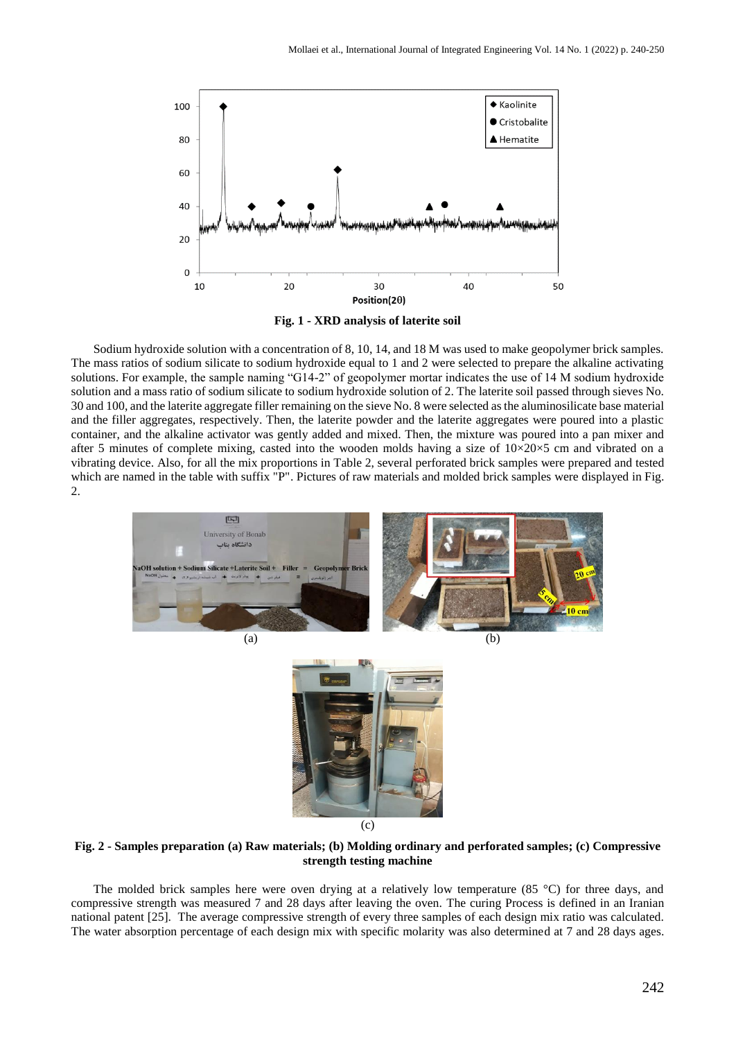

**Fig. 1 - XRD analysis of laterite soil**

Sodium hydroxide solution with a concentration of 8, 10, 14, and 18 M was used to make geopolymer brick samples. The mass ratios of sodium silicate to sodium hydroxide equal to 1 and 2 were selected to prepare the alkaline activating solutions. For example, the sample naming "G14-2" of geopolymer mortar indicates the use of 14 M sodium hydroxide solution and a mass ratio of sodium silicate to sodium hydroxide solution of 2. The laterite soil passed through sieves No. 30 and 100, and the laterite aggregate filler remaining on the sieve No. 8 were selected as the aluminosilicate base material and the filler aggregates, respectively. Then, the laterite powder and the laterite aggregates were poured into a plastic container, and the alkaline activator was gently added and mixed. Then, the mixture was poured into a pan mixer and after 5 minutes of complete mixing, casted into the wooden molds having a size of  $10\times20\times5$  cm and vibrated on a vibrating device. Also, for all the mix proportions in Table 2, several perforated brick samples were prepared and tested which are named in the table with suffix "P". Pictures of raw materials and molded brick samples were displayed in Fig. 2.





**Fig. 2 - Samples preparation (a) Raw materials; (b) Molding ordinary and perforated samples; (c) Compressive strength testing machine**

The molded brick samples here were oven drying at a relatively low temperature  $(85 \degree C)$  for three days, and compressive strength was measured 7 and 28 days after leaving the oven. The curing Process is defined in an Iranian national patent [25]. The average compressive strength of every three samples of each design mix ratio was calculated. The water absorption percentage of each design mix with specific molarity was also determined at 7 and 28 days ages.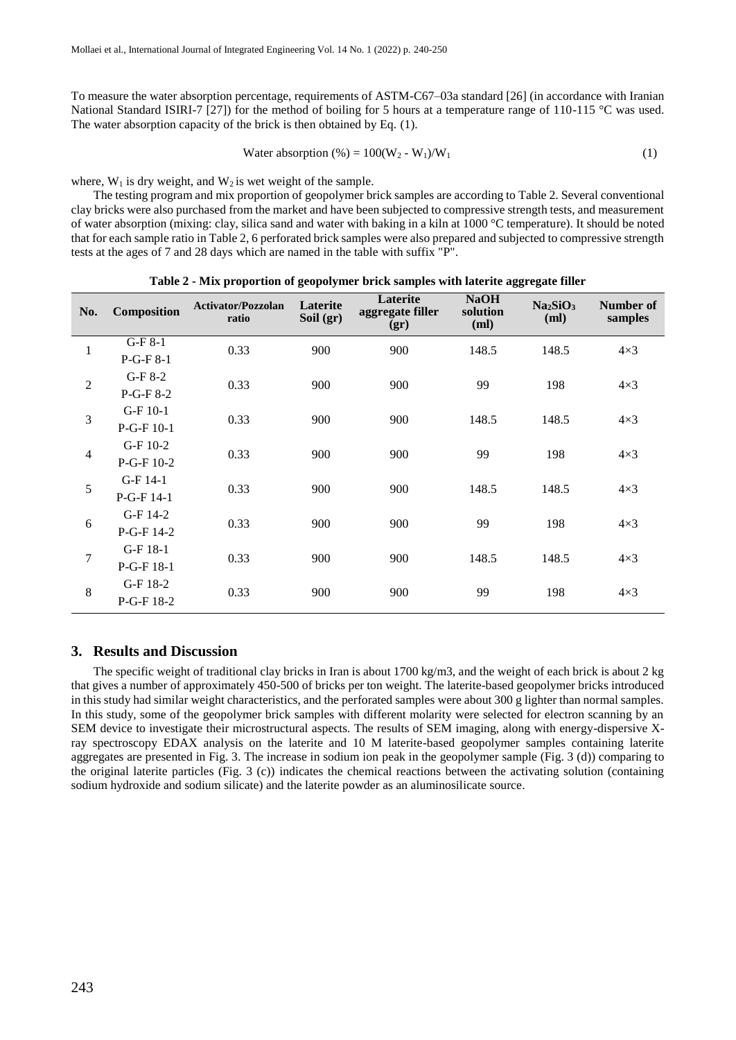To measure the water absorption percentage, requirements of ASTM-C67–03a standard [26] (in accordance with Iranian National Standard ISIRI-7 [27]) for the method of boiling for 5 hours at a temperature range of 110-115 °C was used. The water absorption capacity of the brick is then obtained by Eq. (1).

Water absorption (
$$
\%
$$
) = 100(W<sub>2</sub> - W<sub>1</sub>)/W<sub>1</sub> (1)

where,  $W_1$  is dry weight, and  $W_2$  is wet weight of the sample.

The testing program and mix proportion of geopolymer brick samples are according to Table 2. Several conventional clay bricks were also purchased from the market and have been subjected to compressive strength tests, and measurement of water absorption (mixing: clay, silica sand and water with baking in a kiln at 1000 °C temperature). It should be noted that for each sample ratio in Table 2, 6 perforated brick samples were also prepared and subjected to compressive strength tests at the ages of 7 and 28 days which are named in the table with suffix "P".

| No.            | Composition              | <b>Activator/Pozzolan</b><br>ratio | Laterite<br>Soil $(gr)$ | Laterite<br>aggregate filler<br>(gr) | <b>NaOH</b><br>solution<br>(ml) | Na <sub>2</sub> SiO <sub>3</sub><br>(ml) | Number of<br>samples |
|----------------|--------------------------|------------------------------------|-------------------------|--------------------------------------|---------------------------------|------------------------------------------|----------------------|
| 1              | $G-F8-1$<br>$P-G-F8-1$   | 0.33                               | 900                     | 900                                  | 148.5                           | 148.5                                    | $4\times3$           |
| $\overline{2}$ | $G-F8-2$<br>$P-G-F8-2$   | 0.33                               | 900                     | 900                                  | 99                              | 198                                      | $4\times3$           |
| 3              | $G-F10-1$<br>$P-G-F10-1$ | 0.33                               | 900                     | 900                                  | 148.5                           | 148.5                                    | $4\times3$           |
| $\overline{4}$ | G-F 10-2<br>P-G-F 10-2   | 0.33                               | 900                     | 900                                  | 99                              | 198                                      | $4\times3$           |
| 5              | $G-F14-1$<br>$P-G-F14-1$ | 0.33                               | 900                     | 900                                  | 148.5                           | 148.5                                    | $4\times3$           |
| 6              | G-F 14-2<br>P-G-F 14-2   | 0.33                               | 900                     | 900                                  | 99                              | 198                                      | $4\times3$           |
| 7              | $G-F18-1$<br>$P-G-F18-1$ | 0.33                               | 900                     | 900                                  | 148.5                           | 148.5                                    | $4\times3$           |
| 8              | G-F 18-2<br>$P-G-F18-2$  | 0.33                               | 900                     | 900                                  | 99                              | 198                                      | $4\times3$           |

**Table 2 - Mix proportion of geopolymer brick samples with laterite aggregate filler**

# **3. Results and Discussion**

The specific weight of traditional clay bricks in Iran is about 1700 kg/m3, and the weight of each brick is about 2 kg that gives a number of approximately 450-500 of bricks per ton weight. The laterite-based geopolymer bricks introduced in this study had similar weight characteristics, and the perforated samples were about 300 g lighter than normal samples. In this study, some of the geopolymer brick samples with different molarity were selected for electron scanning by an SEM device to investigate their microstructural aspects. The results of SEM imaging, along with energy-dispersive Xray spectroscopy EDAX analysis on the laterite and 10 M laterite-based geopolymer samples containing laterite aggregates are presented in Fig. 3. The increase in sodium ion peak in the geopolymer sample (Fig. 3 (d)) comparing to the original laterite particles (Fig. 3 (c)) indicates the chemical reactions between the activating solution (containing sodium hydroxide and sodium silicate) and the laterite powder as an aluminosilicate source.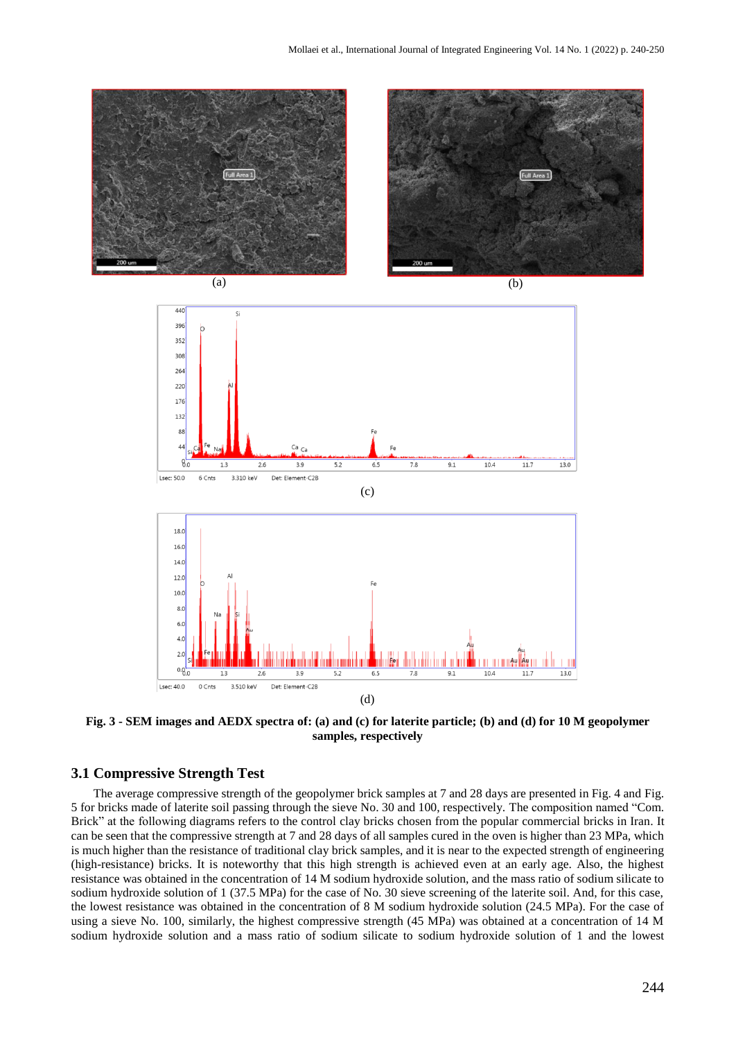

**Fig. 3 - SEM images and AEDX spectra of: (a) and (c) for laterite particle; (b) and (d) for 10 M geopolymer samples, respectively**

## **3.1 Compressive Strength Test**

The average compressive strength of the geopolymer brick samples at 7 and 28 days are presented in Fig. 4 and Fig. 5 for bricks made of laterite soil passing through the sieve No. 30 and 100, respectively. The composition named "Com. Brick" at the following diagrams refers to the control clay bricks chosen from the popular commercial bricks in Iran. It can be seen that the compressive strength at 7 and 28 days of all samples cured in the oven is higher than 23 MPa, which is much higher than the resistance of traditional clay brick samples, and it is near to the expected strength of engineering (high-resistance) bricks. It is noteworthy that this high strength is achieved even at an early age. Also, the highest resistance was obtained in the concentration of 14 M sodium hydroxide solution, and the mass ratio of sodium silicate to sodium hydroxide solution of 1 (37.5 MPa) for the case of No. 30 sieve screening of the laterite soil. And, for this case, the lowest resistance was obtained in the concentration of 8 M sodium hydroxide solution (24.5 MPa). For the case of using a sieve No. 100, similarly, the highest compressive strength (45 MPa) was obtained at a concentration of 14 M sodium hydroxide solution and a mass ratio of sodium silicate to sodium hydroxide solution of 1 and the lowest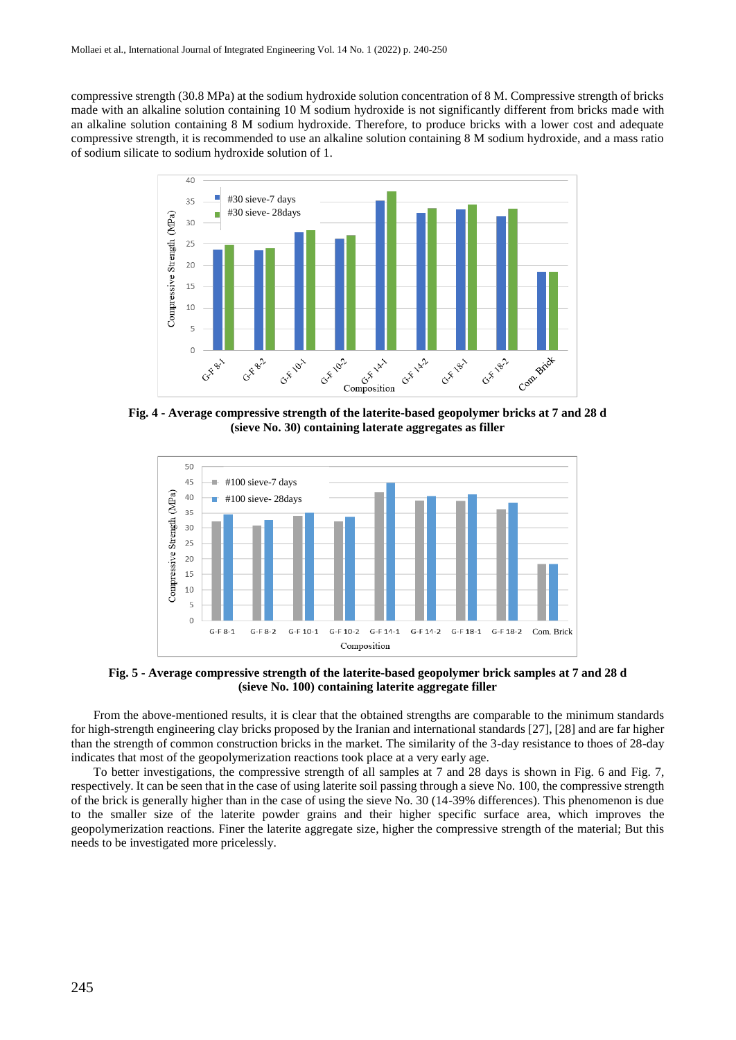compressive strength (30.8 MPa) at the sodium hydroxide solution concentration of 8 M. Compressive strength of bricks made with an alkaline solution containing 10 M sodium hydroxide is not significantly different from bricks made with an alkaline solution containing 8 M sodium hydroxide. Therefore, to produce bricks with a lower cost and adequate compressive strength, it is recommended to use an alkaline solution containing 8 M sodium hydroxide, and a mass ratio of sodium silicate to sodium hydroxide solution of 1.



**Fig. 4 - Average compressive strength of the laterite-based geopolymer bricks at 7 and 28 d (sieve No. 30) containing laterate aggregates as filler**



**Fig. 5 - Average compressive strength of the laterite-based geopolymer brick samples at 7 and 28 d (sieve No. 100) containing laterite aggregate filler**

From the above-mentioned results, it is clear that the obtained strengths are comparable to the minimum standards for high-strength engineering clay bricks proposed by the Iranian and international standards [27], [28] and are far higher than the strength of common construction bricks in the market. The similarity of the 3-day resistance to thoes of 28-day indicates that most of the geopolymerization reactions took place at a very early age.

To better investigations, the compressive strength of all samples at 7 and 28 days is shown in Fig. 6 and Fig. 7, respectively. It can be seen that in the case of using laterite soil passing through a sieve No. 100, the compressive strength of the brick is generally higher than in the case of using the sieve No. 30 (14-39% differences). This phenomenon is due to the smaller size of the laterite powder grains and their higher specific surface area, which improves the geopolymerization reactions. Finer the laterite aggregate size, higher the compressive strength of the material; But this needs to be investigated more pricelessly.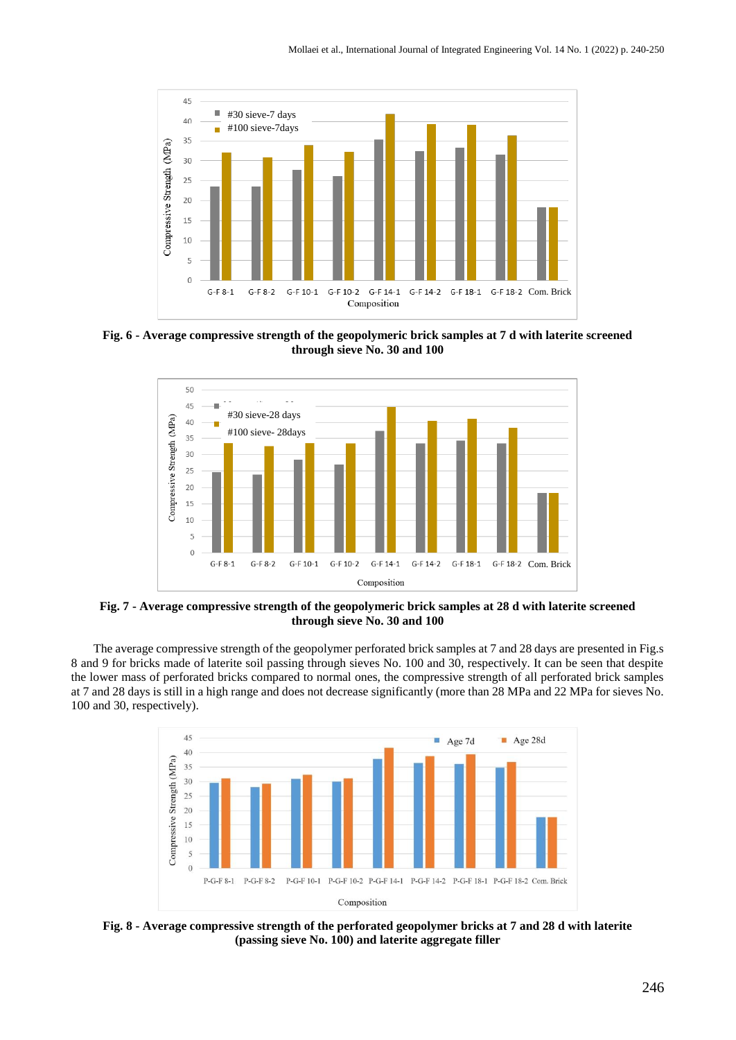

**Fig. 6 - Average compressive strength of the geopolymeric brick samples at 7 d with laterite screened through sieve No. 30 and 100**



**Fig. 7 - Average compressive strength of the geopolymeric brick samples at 28 d with laterite screened through sieve No. 30 and 100**

The average compressive strength of the geopolymer perforated brick samples at 7 and 28 days are presented in Fig.s 8 and 9 for bricks made of laterite soil passing through sieves No. 100 and 30, respectively. It can be seen that despite the lower mass of perforated bricks compared to normal ones, the compressive strength of all perforated brick samples at 7 and 28 days is still in a high range and does not decrease significantly (more than 28 MPa and 22 MPa for sieves No. 100 and 30, respectively).



**Fig. 8 - Average compressive strength of the perforated geopolymer bricks at 7 and 28 d with laterite (passing sieve No. 100) and laterite aggregate filler**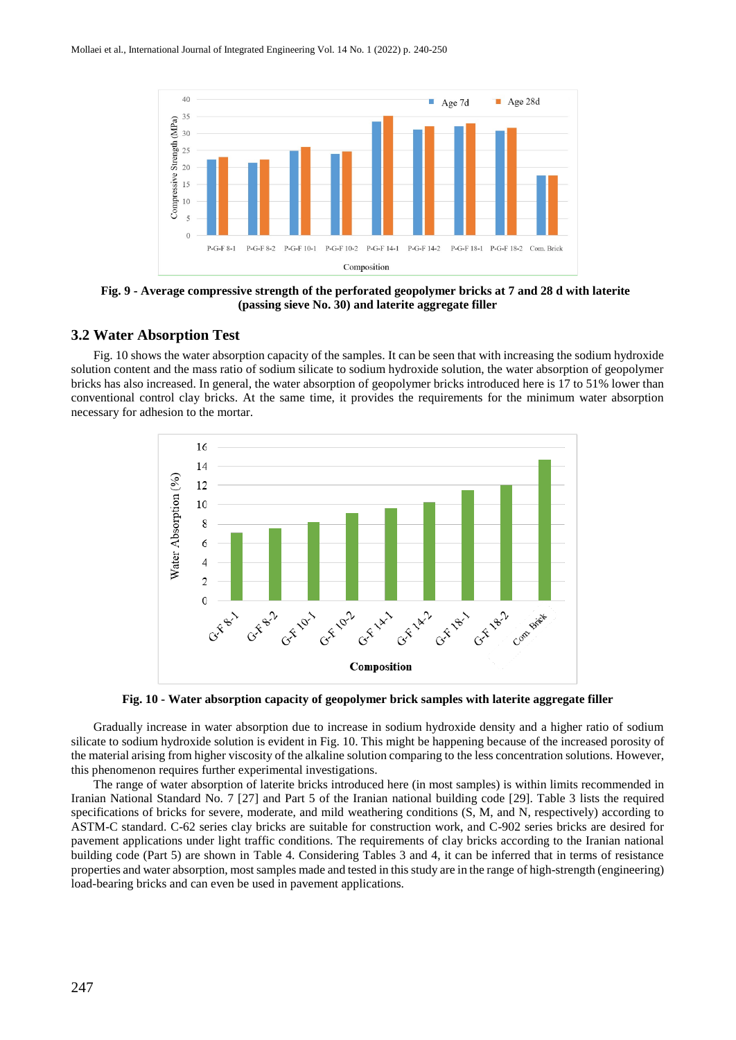

**Fig. 9 - Average compressive strength of the perforated geopolymer bricks at 7 and 28 d with laterite (passing sieve No. 30) and laterite aggregate filler**

#### **3.2 Water Absorption Test**

Fig. 10 shows the water absorption capacity of the samples. It can be seen that with increasing the sodium hydroxide solution content and the mass ratio of sodium silicate to sodium hydroxide solution, the water absorption of geopolymer bricks has also increased. In general, the water absorption of geopolymer bricks introduced here is 17 to 51% lower than conventional control clay bricks. At the same time, it provides the requirements for the minimum water absorption necessary for adhesion to the mortar.



**Fig. 10 - Water absorption capacity of geopolymer brick samples with laterite aggregate filler**

Gradually increase in water absorption due to increase in sodium hydroxide density and a higher ratio of sodium silicate to sodium hydroxide solution is evident in Fig. 10. This might be happening because of the increased porosity of the material arising from higher viscosity of the alkaline solution comparing to the less concentration solutions. However, this phenomenon requires further experimental investigations.

The range of water absorption of laterite bricks introduced here (in most samples) is within limits recommended in Iranian National Standard No. 7 [27] and Part 5 of the Iranian national building code [29]. Table 3 lists the required specifications of bricks for severe, moderate, and mild weathering conditions (S, M, and N, respectively) according to ASTM-C standard. C-62 series clay bricks are suitable for construction work, and C-902 series bricks are desired for pavement applications under light traffic conditions. The requirements of clay bricks according to the Iranian national building code (Part 5) are shown in Table 4. Considering Tables 3 and 4, it can be inferred that in terms of resistance properties and water absorption, most samples made and tested in this study are in the range of high-strength (engineering) load-bearing bricks and can even be used in pavement applications.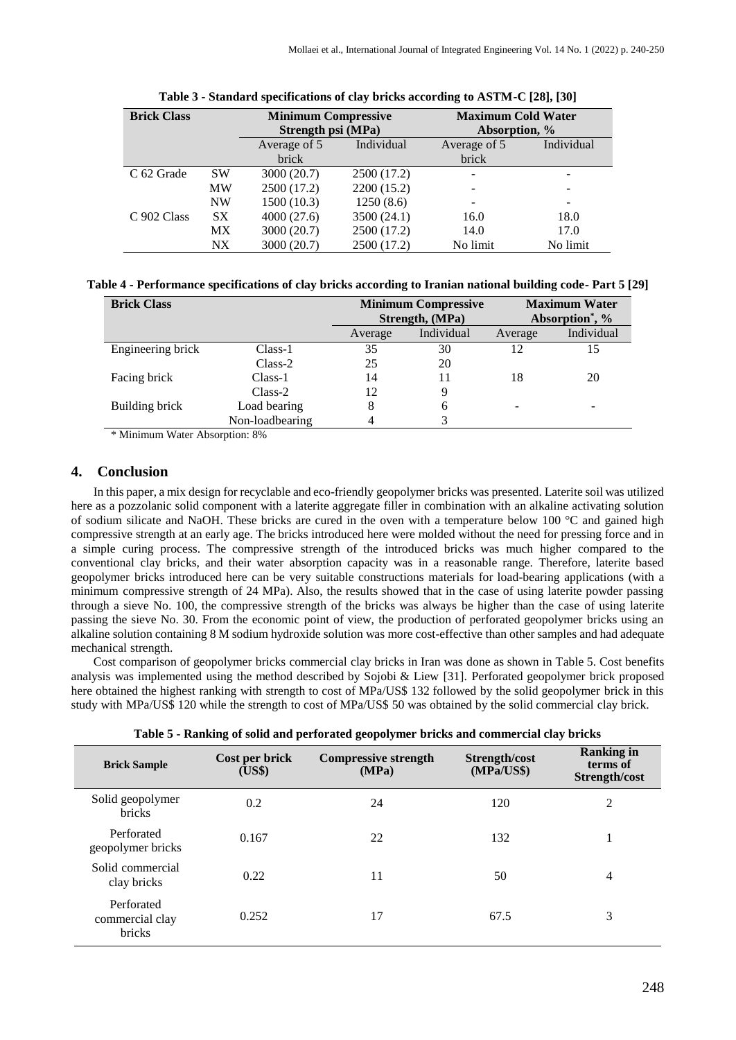| <b>Brick Class</b> |           | <b>Minimum Compressive</b><br>Strength psi (MPa) |             | <b>Maximum Cold Water</b><br>Absorption, % |            |  |
|--------------------|-----------|--------------------------------------------------|-------------|--------------------------------------------|------------|--|
|                    |           | Average of 5                                     | Individual  | Average of 5                               | Individual |  |
|                    |           | brick                                            |             | brick                                      |            |  |
| C 62 Grade         | <b>SW</b> | 3000 (20.7)                                      | 2500 (17.2) |                                            |            |  |
|                    | MW        | 2500 (17.2)                                      | 2200 (15.2) |                                            | -          |  |
|                    | <b>NW</b> | 1500(10.3)                                       | 1250(8.6)   |                                            |            |  |
| C 902 Class        | SX.       | 4000(27.6)                                       | 3500 (24.1) | 16.0                                       | 18.0       |  |
|                    | <b>MX</b> | 3000 (20.7)                                      | 2500 (17.2) | 14.0                                       | 17.0       |  |
|                    | N X       | 3000 (20.7)                                      | 2500 (17.2) | No limit                                   | No limit   |  |

| Table 3 - Standard specifications of clay bricks according to ASTM-C [28], [30] |  |
|---------------------------------------------------------------------------------|--|
|                                                                                 |  |

|  | Table 4 - Performance specifications of clay bricks according to Iranian national building code- Part 5 [29] |  |
|--|--------------------------------------------------------------------------------------------------------------|--|
|  |                                                                                                              |  |

| <b>Brick Class</b> |                 |         | <b>Minimum Compressive</b><br>Strength, (MPa) | <b>Maximum Water</b><br>Absorption <sup>*</sup> , % |            |
|--------------------|-----------------|---------|-----------------------------------------------|-----------------------------------------------------|------------|
|                    |                 | Average | Individual                                    | Average                                             | Individual |
| Engineering brick  | $Class-1$       | 35      | 30                                            | 12                                                  |            |
|                    | $Class-2$       | 25      | 20                                            |                                                     |            |
| Facing brick       | $Class-1$       | 14      | 11                                            | 18                                                  | 20         |
|                    | Class-2         | 12      | 9                                             |                                                     |            |
| Building brick     | Load bearing    | 8       | 6                                             |                                                     |            |
|                    | Non-loadbearing |         |                                               |                                                     |            |

\* Minimum Water Absorption: 8%

#### **4. Conclusion**

In this paper, a mix design for recyclable and eco-friendly geopolymer bricks was presented. Laterite soil was utilized here as a pozzolanic solid component with a laterite aggregate filler in combination with an alkaline activating solution of sodium silicate and NaOH. These bricks are cured in the oven with a temperature below 100 °C and gained high compressive strength at an early age. The bricks introduced here were molded without the need for pressing force and in a simple curing process. The compressive strength of the introduced bricks was much higher compared to the conventional clay bricks, and their water absorption capacity was in a reasonable range. Therefore, laterite based geopolymer bricks introduced here can be very suitable constructions materials for load-bearing applications (with a minimum compressive strength of 24 MPa). Also, the results showed that in the case of using laterite powder passing through a sieve No. 100, the compressive strength of the bricks was always be higher than the case of using laterite passing the sieve No. 30. From the economic point of view, the production of perforated geopolymer bricks using an alkaline solution containing 8 M sodium hydroxide solution was more cost-effective than other samples and had adequate mechanical strength.

Cost comparison of geopolymer bricks commercial clay bricks in Iran was done as shown in Table 5. Cost benefits analysis was implemented using the method described by Sojobi & Liew [31]. Perforated geopolymer brick proposed here obtained the highest ranking with strength to cost of MPa/US\$ 132 followed by the solid geopolymer brick in this study with MPa/US\$ 120 while the strength to cost of MPa/US\$ 50 was obtained by the solid commercial clay brick.

| Table 5 - Kalikung of sonu anu perforateu geopolymer brieks anu commercial clay brieks |                          |                                      |                             |                                                |  |  |  |
|----------------------------------------------------------------------------------------|--------------------------|--------------------------------------|-----------------------------|------------------------------------------------|--|--|--|
| <b>Brick Sample</b>                                                                    | Cost per brick<br>(US\$) | <b>Compressive strength</b><br>(MPa) | Strength/cost<br>(MPa/US\$) | <b>Ranking in</b><br>terms of<br>Strength/cost |  |  |  |
| Solid geopolymer<br><b>bricks</b>                                                      | 0.2                      | 24                                   | 120                         | 2                                              |  |  |  |
| Perforated<br>geopolymer bricks                                                        | 0.167                    | 22                                   | 132                         |                                                |  |  |  |
| Solid commercial<br>clay bricks                                                        | 0.22                     | 11                                   | 50                          | 4                                              |  |  |  |
| Perforated<br>commercial clay<br>bricks                                                | 0.252                    | 17                                   | 67.5                        | 3                                              |  |  |  |

**Table 5 - Ranking of solid and perforated geopolymer bricks and commercial clay bricks**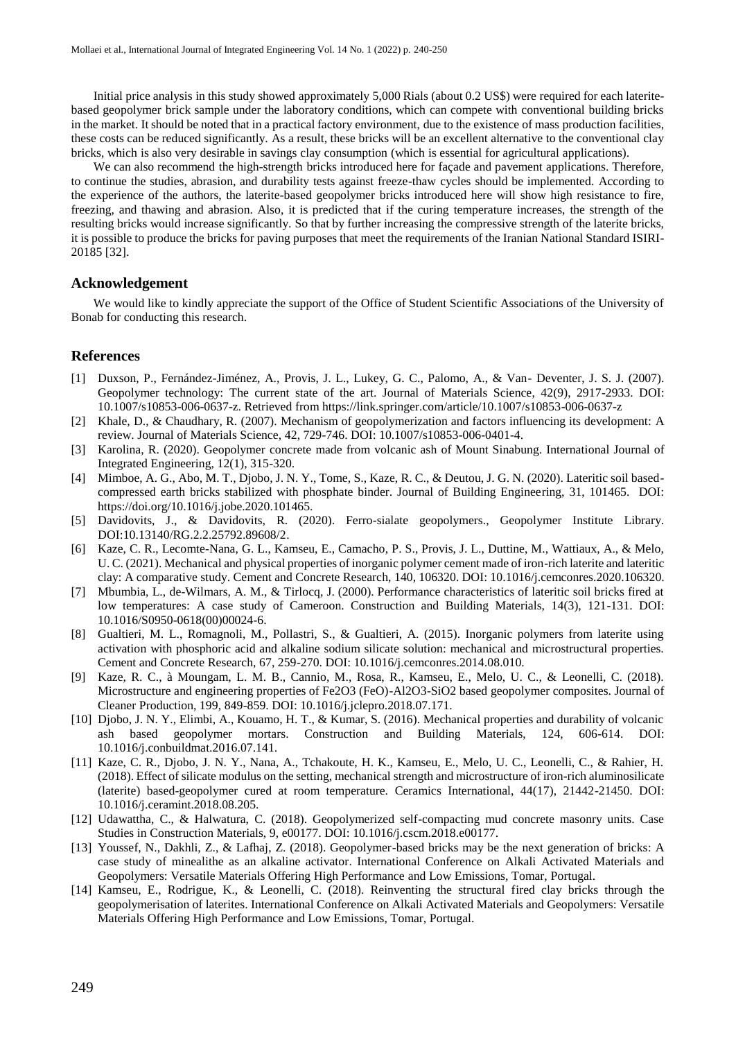Initial price analysis in this study showed approximately 5,000 Rials (about 0.2 US\$) were required for each lateritebased geopolymer brick sample under the laboratory conditions, which can compete with conventional building bricks in the market. It should be noted that in a practical factory environment, due to the existence of mass production facilities, these costs can be reduced significantly. As a result, these bricks will be an excellent alternative to the conventional clay bricks, which is also very desirable in savings clay consumption (which is essential for agricultural applications).

We can also recommend the high-strength bricks introduced here for façade and pavement applications. Therefore, to continue the studies, abrasion, and durability tests against freeze-thaw cycles should be implemented. According to the experience of the authors, the laterite-based geopolymer bricks introduced here will show high resistance to fire, freezing, and thawing and abrasion. Also, it is predicted that if the curing temperature increases, the strength of the resulting bricks would increase significantly. So that by further increasing the compressive strength of the laterite bricks, it is possible to produce the bricks for paving purposes that meet the requirements of the Iranian National Standard ISIRI-20185 [32].

## **Acknowledgement**

We would like to kindly appreciate the support of the Office of Student Scientific Associations of the University of Bonab for conducting this research.

#### **References**

- [1] Duxson, P., Fernández-Jiménez, A., Provis, J. L., Lukey, G. C., Palomo, A., & Van- Deventer, J. S. J. (2007). Geopolymer technology: The current state of the art. Journal of Materials Science, 42(9), 2917-2933. DOI: 10.1007/s10853-006-0637-z. Retrieved from https://link.springer.com/article/10.1007/s10853-006-0637-z
- [2] Khale, D., & Chaudhary, R. (2007). Mechanism of geopolymerization and factors influencing its development: A review. Journal of Materials Science, 42, 729-746. DOI: 10.1007/s10853-006-0401-4.
- [3] Karolina, R. (2020). Geopolymer concrete made from volcanic ash of Mount Sinabung. International Journal of Integrated Engineering, 12(1), 315-320.
- [4] Mimboe, A. G., Abo, M. T., Djobo, J. N. Y., Tome, S., Kaze, R. C., & Deutou, J. G. N. (2020). Lateritic soil basedcompressed earth bricks stabilized with phosphate binder. Journal of Building Engineering, 31, 101465. DOI: https://doi.org/10.1016/j.jobe.2020.101465.
- [5] Davidovits, J., & Davidovits, R. (2020). Ferro-sialate geopolymers., Geopolymer Institute Library. DOI:10.13140/RG.2.2.25792.89608/2.
- [6] Kaze, C. R., Lecomte-Nana, G. L., Kamseu, E., Camacho, P. S., Provis, J. L., Duttine, M., Wattiaux, A., & Melo, U. C. (2021). Mechanical and physical properties of inorganic polymer cement made of iron-rich laterite and lateritic clay: A comparative study. Cement and Concrete Research, 140, 106320. DOI: 10.1016/j.cemconres.2020.106320.
- [7] Mbumbia, L., de-Wilmars, A. M., & Tirlocq, J. (2000). Performance characteristics of lateritic soil bricks fired at low temperatures: A case study of Cameroon. Construction and Building Materials, 14(3), 121-131. DOI: 10.1016/S0950-0618(00)00024-6.
- [8] Gualtieri, M. L., Romagnoli, M., Pollastri, S., & Gualtieri, A. (2015). Inorganic polymers from laterite using activation with phosphoric acid and alkaline sodium silicate solution: mechanical and microstructural properties. Cement and Concrete Research, 67, 259-270. DOI: 10.1016/j.cemconres.2014.08.010.
- [9] Kaze, R. C., à Moungam, L. M. B., Cannio, M., Rosa, R., Kamseu, E., Melo, U. C., & Leonelli, C. (2018). Microstructure and engineering properties of Fe2O3 (FeO)-Al2O3-SiO2 based geopolymer composites. Journal of Cleaner Production, 199, 849-859. DOI: 10.1016/j.jclepro.2018.07.171.
- [10] Djobo, J. N. Y., Elimbi, A., Kouamo, H. T., & Kumar, S. (2016). Mechanical properties and durability of volcanic ash based geopolymer mortars. Construction and Building Materials, 124, 606-614. DOI: 10.1016/j.conbuildmat.2016.07.141.
- [11] Kaze, C. R., Djobo, J. N. Y., Nana, A., Tchakoute, H. K., Kamseu, E., Melo, U. C., Leonelli, C., & Rahier, H. (2018). Effect of silicate modulus on the setting, mechanical strength and microstructure of iron-rich aluminosilicate (laterite) based-geopolymer cured at room temperature. Ceramics International, 44(17), 21442-21450. DOI: 10.1016/j.ceramint.2018.08.205.
- [12] Udawattha, C., & Halwatura, C. (2018). Geopolymerized self-compacting mud concrete masonry units. Case Studies in Construction Materials, 9, e00177. DOI: 10.1016/j.cscm.2018.e00177.
- [13] Youssef, N., Dakhli, Z., & Lafhaj, Z. (2018). Geopolymer-based bricks may be the next generation of bricks: A case study of minealithe as an alkaline activator. International Conference on Alkali Activated Materials and Geopolymers: Versatile Materials Offering High Performance and Low Emissions, Tomar, Portugal.
- [14] Kamseu, E., Rodrigue, K., & Leonelli, C. (2018). Reinventing the structural fired clay bricks through the geopolymerisation of laterites. International Conference on Alkali Activated Materials and Geopolymers: Versatile Materials Offering High Performance and Low Emissions, Tomar, Portugal.